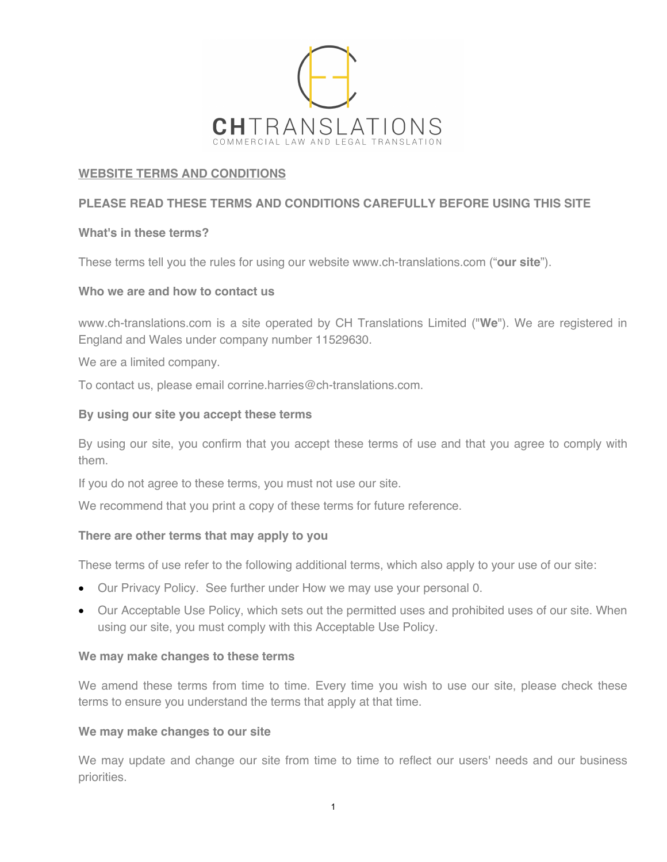

# **WEBSITE TERMS AND CONDITIONS**

# **PLEASE READ THESE TERMS AND CONDITIONS CAREFULLY BEFORE USING THIS SITE**

# **What's in these terms?**

These terms tell you the rules for using our website www.ch-translations.com ("**our site**").

# **Who we are and how to contact us**

www.ch-translations.com is a site operated by CH Translations Limited ("**We**"). We are registered in England and Wales under company number 11529630.

We are a limited company.

To contact us, please email corrine.harries@ch-translations.com.

# **By using our site you accept these terms**

By using our site, you confirm that you accept these terms of use and that you agree to comply with them.

If you do not agree to these terms, you must not use our site.

We recommend that you print a copy of these terms for future reference.

# **There are other terms that may apply to you**

These terms of use refer to the following additional terms, which also apply to your use of our site:

- Our Privacy Policy. See further under How we may use your personal 0.
- Our Acceptable Use Policy, which sets out the permitted uses and prohibited uses of our site. When using our site, you must comply with this Acceptable Use Policy.

#### **We may make changes to these terms**

We amend these terms from time to time. Every time you wish to use our site, please check these terms to ensure you understand the terms that apply at that time.

#### **We may make changes to our site**

We may update and change our site from time to time to reflect our users' needs and our business priorities.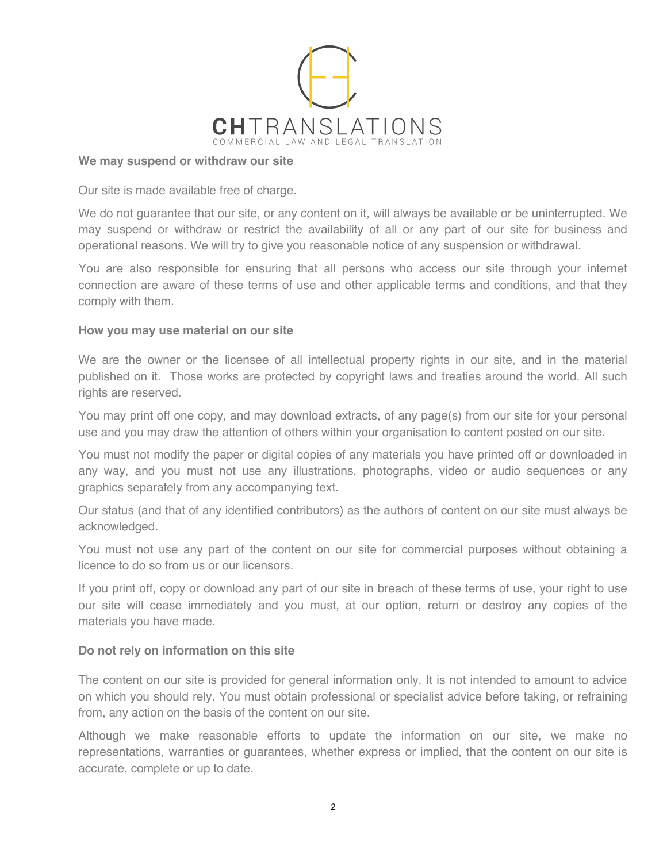

### **We may suspend or withdraw our site**

Our site is made available free of charge.

We do not guarantee that our site, or any content on it, will always be available or be uninterrupted. We may suspend or withdraw or restrict the availability of all or any part of our site for business and operational reasons. We will try to give you reasonable notice of any suspension or withdrawal.

You are also responsible for ensuring that all persons who access our site through your internet connection are aware of these terms of use and other applicable terms and conditions, and that they comply with them.

### **How you may use material on our site**

We are the owner or the licensee of all intellectual property rights in our site, and in the material published on it. Those works are protected by copyright laws and treaties around the world. All such rights are reserved.

You may print off one copy, and may download extracts, of any page(s) from our site for your personal use and you may draw the attention of others within your organisation to content posted on our site.

You must not modify the paper or digital copies of any materials you have printed off or downloaded in any way, and you must not use any illustrations, photographs, video or audio sequences or any graphics separately from any accompanying text.

Our status (and that of any identified contributors) as the authors of content on our site must always be acknowledged.

You must not use any part of the content on our site for commercial purposes without obtaining a licence to do so from us or our licensors.

If you print off, copy or download any part of our site in breach of these terms of use, your right to use our site will cease immediately and you must, at our option, return or destroy any copies of the materials you have made.

# **Do not rely on information on this site**

The content on our site is provided for general information only. It is not intended to amount to advice on which you should rely. You must obtain professional or specialist advice before taking, or refraining from, any action on the basis of the content on our site.

Although we make reasonable efforts to update the information on our site, we make no representations, warranties or guarantees, whether express or implied, that the content on our site is accurate, complete or up to date.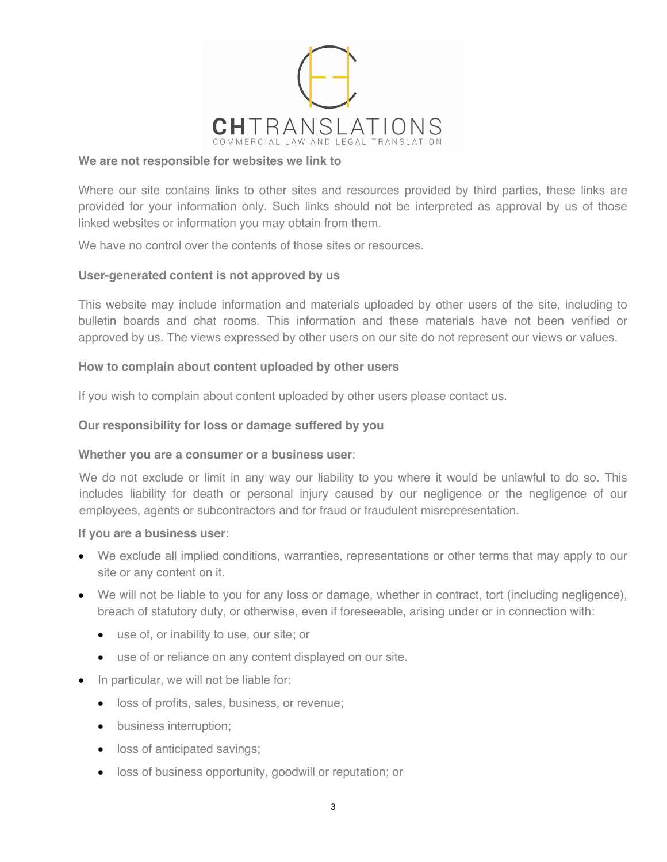

### **We are not responsible for websites we link to**

Where our site contains links to other sites and resources provided by third parties, these links are provided for your information only. Such links should not be interpreted as approval by us of those linked websites or information you may obtain from them.

We have no control over the contents of those sites or resources.

### **User-generated content is not approved by us**

This website may include information and materials uploaded by other users of the site, including to bulletin boards and chat rooms. This information and these materials have not been verified or approved by us. The views expressed by other users on our site do not represent our views or values.

### **How to complain about content uploaded by other users**

If you wish to complain about content uploaded by other users please contact us.

### **Our responsibility for loss or damage suffered by you**

#### **Whether you are a consumer or a business user**:

We do not exclude or limit in any way our liability to you where it would be unlawful to do so. This includes liability for death or personal injury caused by our negligence or the negligence of our employees, agents or subcontractors and for fraud or fraudulent misrepresentation.

#### **If you are a business user**:

- We exclude all implied conditions, warranties, representations or other terms that may apply to our site or any content on it.
- We will not be liable to you for any loss or damage, whether in contract, tort (including negligence), breach of statutory duty, or otherwise, even if foreseeable, arising under or in connection with:
	- use of, or inability to use, our site; or
	- use of or reliance on any content displayed on our site.
- In particular, we will not be liable for:
	- loss of profits, sales, business, or revenue;
	- business interruption;
	- loss of anticipated savings;
	- loss of business opportunity, goodwill or reputation; or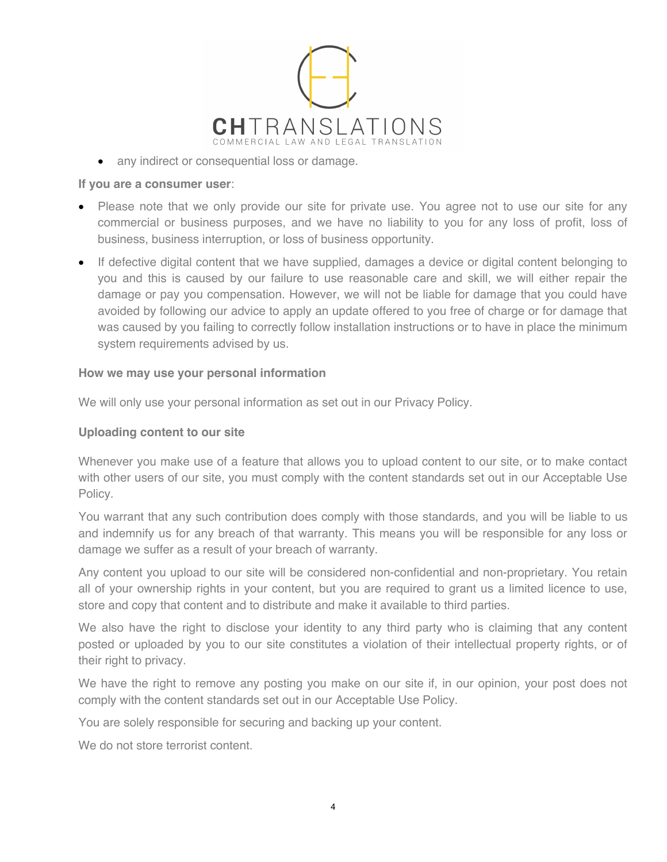

• any indirect or consequential loss or damage.

#### **If you are a consumer user**:

- Please note that we only provide our site for private use. You agree not to use our site for any commercial or business purposes, and we have no liability to you for any loss of profit, loss of business, business interruption, or loss of business opportunity.
- If defective digital content that we have supplied, damages a device or digital content belonging to you and this is caused by our failure to use reasonable care and skill, we will either repair the damage or pay you compensation. However, we will not be liable for damage that you could have avoided by following our advice to apply an update offered to you free of charge or for damage that was caused by you failing to correctly follow installation instructions or to have in place the minimum system requirements advised by us.

### **How we may use your personal information**

We will only use your personal information as set out in our Privacy Policy.

### **Uploading content to our site**

Whenever you make use of a feature that allows you to upload content to our site, or to make contact with other users of our site, you must comply with the content standards set out in our Acceptable Use Policy.

You warrant that any such contribution does comply with those standards, and you will be liable to us and indemnify us for any breach of that warranty. This means you will be responsible for any loss or damage we suffer as a result of your breach of warranty.

Any content you upload to our site will be considered non-confidential and non-proprietary. You retain all of your ownership rights in your content, but you are required to grant us a limited licence to use, store and copy that content and to distribute and make it available to third parties.

We also have the right to disclose your identity to any third party who is claiming that any content posted or uploaded by you to our site constitutes a violation of their intellectual property rights, or of their right to privacy.

We have the right to remove any posting you make on our site if, in our opinion, your post does not comply with the content standards set out in our Acceptable Use Policy.

You are solely responsible for securing and backing up your content.

We do not store terrorist content